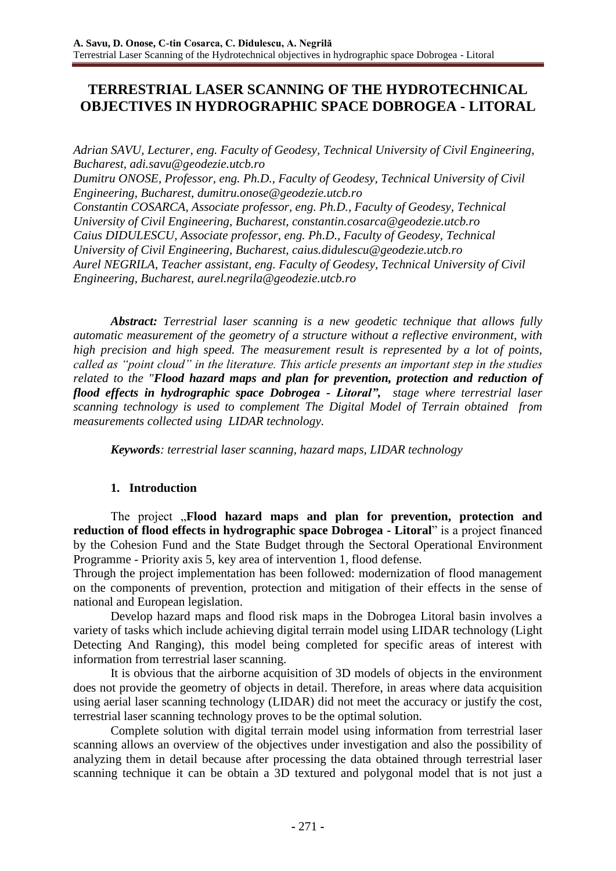# **TERRESTRIAL LASER SCANNING OF THE HYDROTECHNICAL OBJECTIVES IN HYDROGRAPHIC SPACE DOBROGEA - LITORAL**

*Adrian SAVU, Lecturer, eng. Faculty of Geodesy, Technical University of Civil Engineering, Bucharest, adi.savu@geodezie.utcb.ro Dumitru ONOSE, Professor, eng. Ph.D., Faculty of Geodesy, Technical University of Civil Engineering, Bucharest, dumitru.onose@geodezie.utcb.ro Constantin COSARCA, Associate professor, eng. Ph.D., Faculty of Geodesy, Technical University of Civil Engineering, Bucharest, constantin.cosarca@geodezie.utcb.ro Caius DIDULESCU, Associate professor, eng. Ph.D., Faculty of Geodesy, Technical University of Civil Engineering, Bucharest, caius.didulescu@geodezie.utcb.ro Aurel NEGRILA, Teacher assistant, eng. Faculty of Geodesy, Technical University of Civil Engineering, Bucharest, aurel.negrila@geodezie.utcb.ro*

*Abstract: Terrestrial laser scanning is a new geodetic technique that allows fully automatic measurement of the geometry of a structure without a reflective environment, with high precision and high speed. The measurement result is represented by a lot of points, called as "point cloud" in the literature. This article presents an important step in the studies related to the "Flood hazard maps and plan for prevention, protection and reduction of flood effects in hydrographic space Dobrogea - Litoral", stage where terrestrial laser scanning technology is used to complement The Digital Model of Terrain obtained from measurements collected using LIDAR technology.*

*Keywords: terrestrial laser scanning, hazard maps, LIDAR technology*

## **1. Introduction**

The project "Flood hazard maps and plan for prevention, protection and **reduction of flood effects in hydrographic space Dobrogea - Litoral**" is a project financed by the Cohesion Fund and the State Budget through the Sectoral Operational Environment Programme - Priority axis 5, key area of intervention 1, flood defense.

Through the project implementation has been followed: modernization of flood management on the components of prevention, protection and mitigation of their effects in the sense of national and European legislation.

Develop hazard maps and flood risk maps in the Dobrogea Litoral basin involves a variety of tasks which include achieving digital terrain model using LIDAR technology (Light Detecting And Ranging), this model being completed for specific areas of interest with information from terrestrial laser scanning.

It is obvious that the airborne acquisition of 3D models of objects in the environment does not provide the geometry of objects in detail. Therefore, in areas where data acquisition using aerial laser scanning technology (LIDAR) did not meet the accuracy or justify the cost, terrestrial laser scanning technology proves to be the optimal solution.

Complete solution with digital terrain model using information from terrestrial laser scanning allows an overview of the objectives under investigation and also the possibility of analyzing them in detail because after processing the data obtained through terrestrial laser scanning technique it can be obtain a 3D textured and polygonal model that is not just a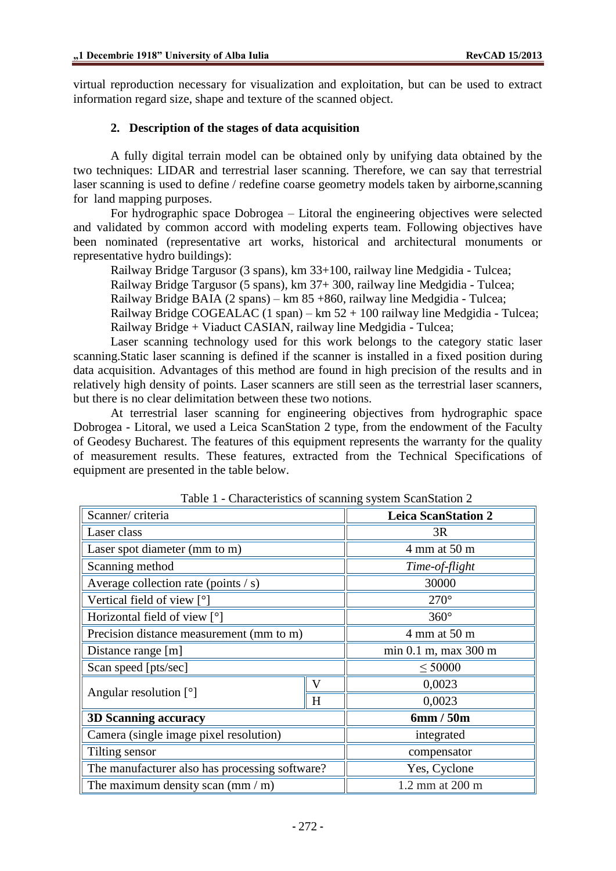virtual reproduction necessary for visualization and exploitation, but can be used to extract information regard size, shape and texture of the scanned object.

#### **2. Description of the stages of data acquisition**

A fully digital terrain model can be obtained only by unifying data obtained by the two techniques: LIDAR and terrestrial laser scanning. Therefore, we can say that terrestrial laser scanning is used to define / redefine coarse geometry models taken by airborne,scanning for land mapping purposes.

For hydrographic space Dobrogea – Litoral the engineering objectives were selected and validated by common accord with modeling experts team. Following objectives have been nominated (representative art works, historical and architectural monuments or representative hydro buildings):

Railway Bridge Targusor (3 spans), km 33+100, railway line Medgidia - Tulcea; Railway Bridge Targusor (5 spans), km 37+ 300, railway line Medgidia - Tulcea; Railway Bridge BAIA (2 spans) – km 85 +860, railway line Medgidia - Tulcea;

Railway Bridge COGEALAC  $(1 \text{ span}) - \text{km } 52 + 100$  railway line Medgidia - Tulcea; Railway Bridge + Viaduct CASIAN, railway line Medgidia - Tulcea;

Laser scanning technology used for this work belongs to the category static laser scanning.Static laser scanning is defined if the scanner is installed in a fixed position during data acquisition. Advantages of this method are found in high precision of the results and in relatively high density of points. Laser scanners are still seen as the terrestrial laser scanners, but there is no clear delimitation between these two notions.

At terrestrial laser scanning for engineering objectives from hydrographic space Dobrogea - Litoral, we used a Leica ScanStation 2 type, from the endowment of the Faculty of Geodesy Bucharest. The features of this equipment represents the warranty for the quality of measurement results. These features, extracted from the Technical Specifications of equipment are presented in the table below.

| Scanner/criteria                                |   | <b>Leica ScanStation 2</b> |  |
|-------------------------------------------------|---|----------------------------|--|
| Laser class                                     |   | 3R                         |  |
| Laser spot diameter (mm to m)                   |   | 4 mm at 50 m               |  |
| Scanning method                                 |   | Time-of-flight             |  |
| Average collection rate (points $\frac{1}{s}$ ) |   | 30000                      |  |
| Vertical field of view $\lceil \circ \rceil$    |   | $270^\circ$                |  |
| Horizontal field of view [°]                    |   | $360^\circ$                |  |
| Precision distance measurement (mm to m)        |   | 4 mm at 50 m               |  |
| Distance range [m]                              |   | min 0.1 m, max 300 m       |  |
| Scan speed [pts/sec]                            |   | $\leq 50000$               |  |
| Angular resolution $[°]$                        | V | 0,0023                     |  |
|                                                 | H | 0,0023                     |  |
| <b>3D Scanning accuracy</b>                     |   | 6mm/50m                    |  |
| Camera (single image pixel resolution)          |   | integrated                 |  |
| Tilting sensor                                  |   | compensator                |  |
| The manufacturer also has processing software?  |   | Yes, Cyclone               |  |
| The maximum density scan $(\text{mm}/\text{m})$ |   | 1.2 mm at 200 m            |  |

Table 1 - Characteristics of scanning system ScanStation 2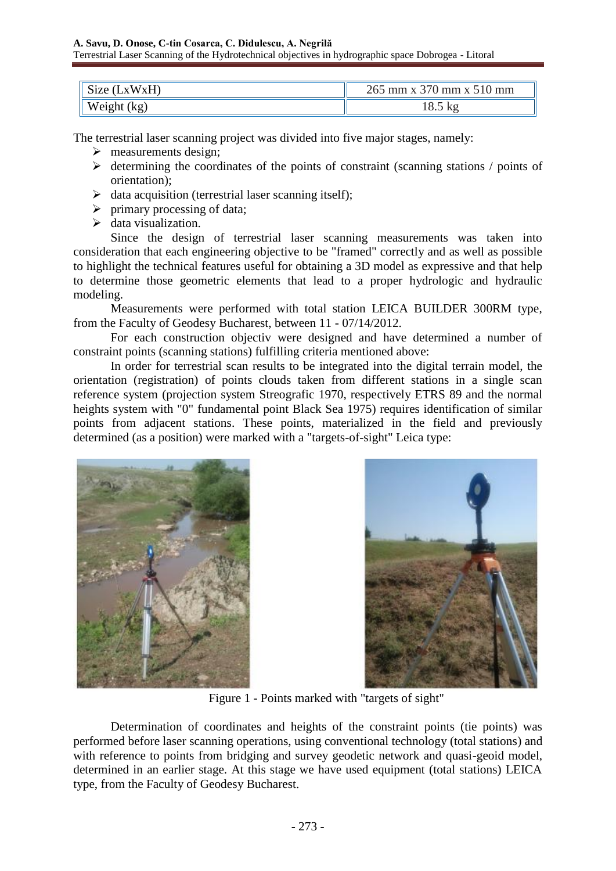| Size (LxWxH) | 265 mm x 370 mm x 510 mm |  |
|--------------|--------------------------|--|
| Weight (kg)  | 18.5 kg                  |  |

The terrestrial laser scanning project was divided into five major stages, namely:

- $\triangleright$  measurements design;
- $\triangleright$  determining the coordinates of the points of constraint (scanning stations / points of orientation);
- $\triangleright$  data acquisition (terrestrial laser scanning itself);
- $\triangleright$  primary processing of data:
- $\triangleright$  data visualization.

Since the design of terrestrial laser scanning measurements was taken into consideration that each engineering objective to be "framed" correctly and as well as possible to highlight the technical features useful for obtaining a 3D model as expressive and that help to determine those geometric elements that lead to a proper hydrologic and hydraulic modeling.

Measurements were performed with total station LEICA BUILDER 300RM type, from the Faculty of Geodesy Bucharest, between 11 - 07/14/2012.

For each construction objectiv were designed and have determined a number of constraint points (scanning stations) fulfilling criteria mentioned above:

In order for terrestrial scan results to be integrated into the digital terrain model, the orientation (registration) of points clouds taken from different stations in a single scan reference system (projection system Streografic 1970, respectively ETRS 89 and the normal heights system with "0" fundamental point Black Sea 1975) requires identification of similar points from adjacent stations. These points, materialized in the field and previously determined (as a position) were marked with a "targets-of-sight" Leica type:





Figure 1 - Points marked with "targets of sight"

Determination of coordinates and heights of the constraint points (tie points) was performed before laser scanning operations, using conventional technology (total stations) and with reference to points from bridging and survey geodetic network and quasi-geoid model, determined in an earlier stage. At this stage we have used equipment (total stations) LEICA type, from the Faculty of Geodesy Bucharest.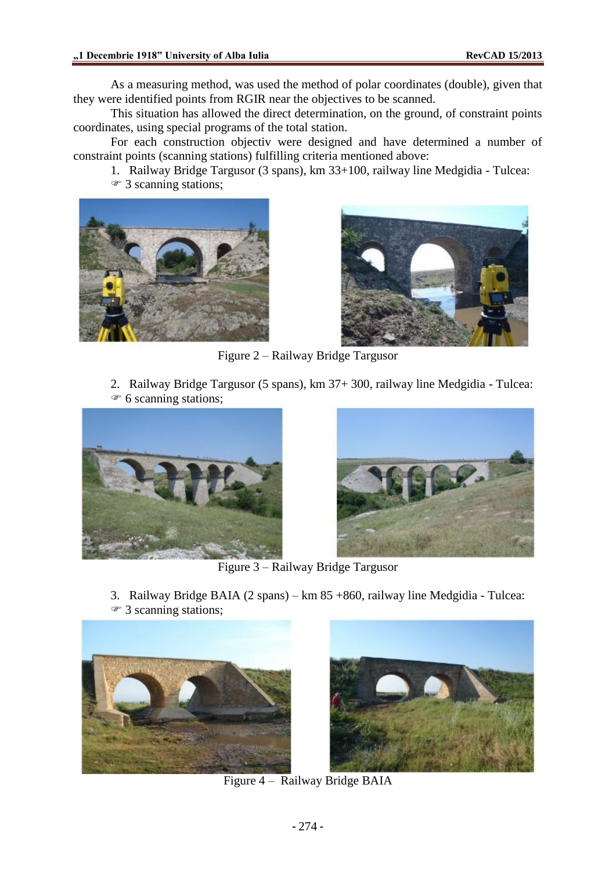As a measuring method, was used the method of polar coordinates (double), given that they were identified points from RGIR near the objectives to be scanned.

This situation has allowed the direct determination, on the ground, of constraint points coordinates, using special programs of the total station.

For each construction objectiv were designed and have determined a number of constraint points (scanning stations) fulfilling criteria mentioned above:

- 1. Railway Bridge Targusor (3 spans), km 33+100, railway line Medgidia Tulcea:
- 3 scanning stations;





Figure 2 – Railway Bridge Targusor

2. Railway Bridge Targusor (5 spans), km 37+ 300, railway line Medgidia - Tulcea:  $\mathcal F$  6 scanning stations;





Figure 3 – Railway Bridge Targusor

- 3. Railway Bridge BAIA (2 spans) km 85 +860, railway line Medgidia Tulcea:
- <sup> $\circledast$ </sup> 3 scanning stations;





Figure 4 – Railway Bridge BAIA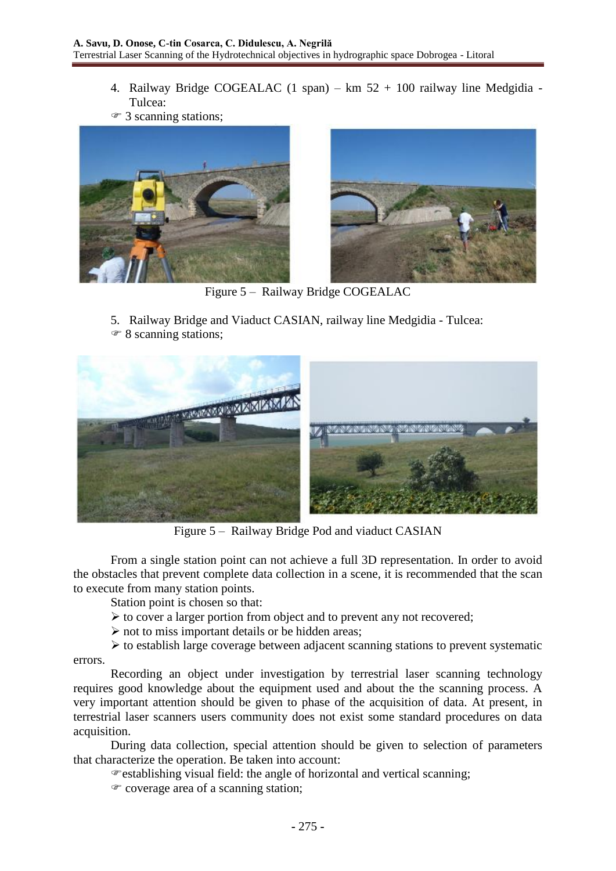- 4. Railway Bridge COGEALAC (1 span) km 52 + 100 railway line Medgidia Tulcea:
- 3 scanning stations;





Figure 5 – Railway Bridge COGEALAC

5. Railway Bridge and Viaduct CASIAN, railway line Medgidia - Tulcea: <sup> $\mathcal F$ </sup> 8 scanning stations;



Figure 5 – Railway Bridge Pod and viaduct CASIAN

From a single station point can not achieve a full 3D representation. In order to avoid the obstacles that prevent complete data collection in a scene, it is recommended that the scan to execute from many station points.

Station point is chosen so that:

- $\triangleright$  to cover a larger portion from object and to prevent any not recovered;
- $\triangleright$  not to miss important details or be hidden areas;

 $\triangleright$  to establish large coverage between adjacent scanning stations to prevent systematic

errors.

Recording an object under investigation by terrestrial laser scanning technology requires good knowledge about the equipment used and about the the scanning process. A very important attention should be given to phase of the acquisition of data. At present, in terrestrial laser scanners users community does not exist some standard procedures on data acquisition.

During data collection, special attention should be given to selection of parameters that characterize the operation. Be taken into account:

establishing visual field: the angle of horizontal and vertical scanning;

 $\infty$  coverage area of a scanning station;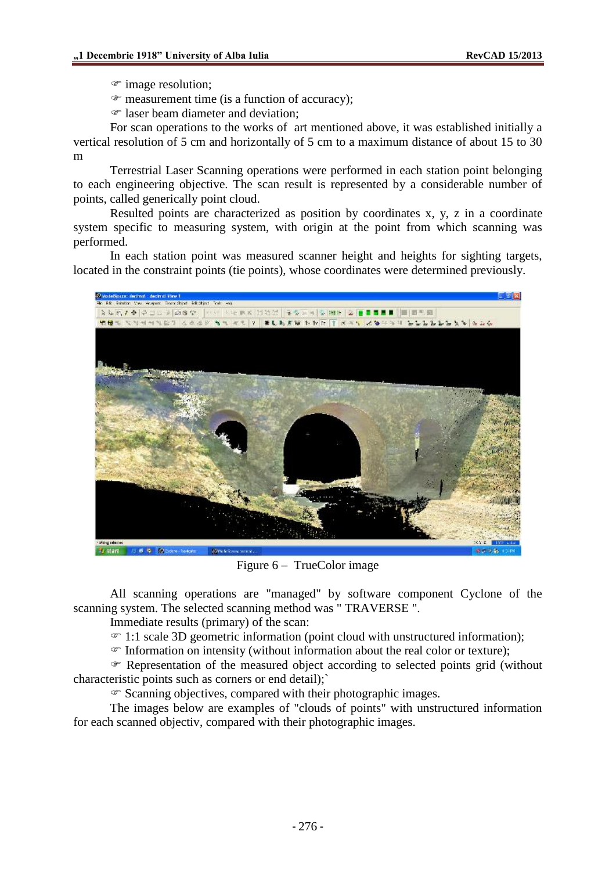- $\mathcal{F}$  image resolution;
- $\mathcal{F}$  measurement time (is a function of accuracy);
- laser beam diameter and deviation:

For scan operations to the works of art mentioned above, it was established initially a vertical resolution of 5 cm and horizontally of 5 cm to a maximum distance of about 15 to 30 m

Terrestrial Laser Scanning operations were performed in each station point belonging to each engineering objective. The scan result is represented by a considerable number of points, called generically point cloud.

Resulted points are characterized as position by coordinates x, y, z in a coordinate system specific to measuring system, with origin at the point from which scanning was performed.

In each station point was measured scanner height and heights for sighting targets, located in the constraint points (tie points), whose coordinates were determined previously.



Figure 6 – TrueColor image

All scanning operations are "managed" by software component Cyclone of the scanning system. The selected scanning method was " TRAVERSE ".

Immediate results (primary) of the scan:

1:1 scale 3D geometric information (point cloud with unstructured information);

 $\mathcal{F}$  Information on intensity (without information about the real color or texture);

 Representation of the measured object according to selected points grid (without characteristic points such as corners or end detail);`

 $\mathcal F$  Scanning objectives, compared with their photographic images.

The images below are examples of "clouds of points" with unstructured information for each scanned objectiv, compared with their photographic images.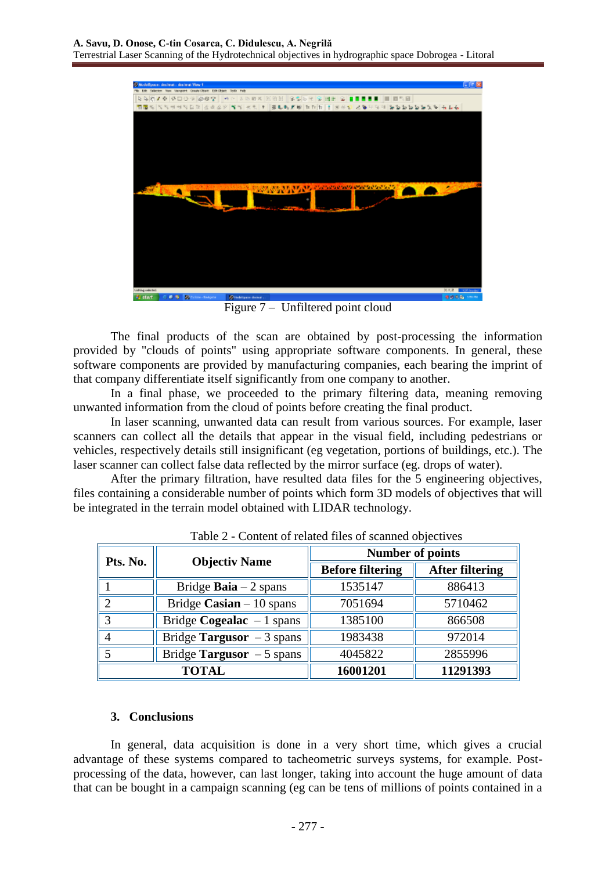

Figure 7 – Unfiltered point cloud

The final products of the scan are obtained by post-processing the information provided by "clouds of points" using appropriate software components. In general, these software components are provided by manufacturing companies, each bearing the imprint of that company differentiate itself significantly from one company to another.

In a final phase, we proceeded to the primary filtering data, meaning removing unwanted information from the cloud of points before creating the final product.

In laser scanning, unwanted data can result from various sources. For example, laser scanners can collect all the details that appear in the visual field, including pedestrians or vehicles, respectively details still insignificant (eg vegetation, portions of buildings, etc.). The laser scanner can collect false data reflected by the mirror surface (eg. drops of water).

After the primary filtration, have resulted data files for the 5 engineering objectives, files containing a considerable number of points which form 3D models of objectives that will be integrated in the terrain model obtained with LIDAR technology.

| Pts. No. | <b>Objectiv Name</b>          | <b>Number of points</b> |                        |  |
|----------|-------------------------------|-------------------------|------------------------|--|
|          |                               | <b>Before filtering</b> | <b>After filtering</b> |  |
|          | Bridge <b>Baia</b> $-2$ spans | 1535147                 | 886413                 |  |
|          | Bridge Casian $-10$ spans     | 7051694                 | 5710462                |  |
| 2        | Bridge Cogealac $-1$ spans    | 1385100                 | 866508                 |  |
|          | Bridge Targusor $-3$ spans    | 1983438                 | 972014                 |  |
|          | Bridge Targusor $-5$ spans    | 4045822                 | 2855996                |  |
| TOTAL    |                               | 16001201                | 11291393               |  |

Table 2 - Content of related files of scanned objectives

### **3. Conclusions**

In general, data acquisition is done in a very short time, which gives a crucial advantage of these systems compared to tacheometric surveys systems, for example. Postprocessing of the data, however, can last longer, taking into account the huge amount of data that can be bought in a campaign scanning (eg can be tens of millions of points contained in a